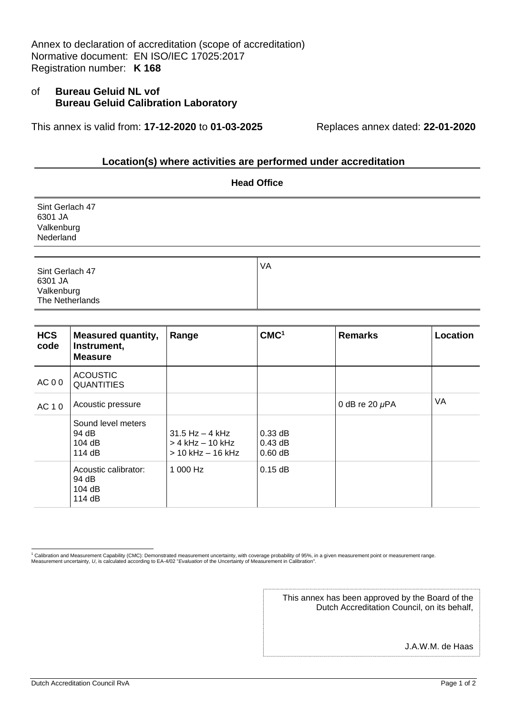Annex to declaration of accreditation (scope of accreditation) Normative document: EN ISO/IEC 17025:2017 Registration number: **K 168**

## of **Bureau Geluid NL vof Bureau Geluid Calibration Laboratory**

This annex is valid from: **17-12-2020** to **01-03-2025** Replaces annex dated: **22-01-2020**

## **Location(s) where activities are performed under accreditation**

| <b>Head Office</b>                                          |    |  |  |  |  |
|-------------------------------------------------------------|----|--|--|--|--|
| Sint Gerlach 47<br>6301 JA<br>Valkenburg<br>Nederland       |    |  |  |  |  |
| Sint Gerlach 47<br>6301 JA<br>Valkenburg<br>The Netherlands | VA |  |  |  |  |

| <b>HCS</b><br>code | <b>Measured quantity,</b><br>Instrument,<br><b>Measure</b> | Range                                                                | CMC <sup>1</sup>                    | <b>Remarks</b>      | Location |
|--------------------|------------------------------------------------------------|----------------------------------------------------------------------|-------------------------------------|---------------------|----------|
| AC 00              | <b>ACOUSTIC</b><br><b>QUANTITIES</b>                       |                                                                      |                                     |                     |          |
| AC 10              | Acoustic pressure                                          |                                                                      |                                     | 0 dB re 20 $\mu$ PA | VA       |
|                    | Sound level meters<br>94 dB<br>104 dB<br>114 $dB$          | $31.5$ Hz $-$ 4 kHz<br>$>$ 4 kHz $-$ 10 kHz<br>$>$ 10 kHz $-$ 16 kHz | $0.33$ dB<br>$0.43$ dB<br>$0.60$ dB |                     |          |
|                    | Acoustic calibrator:<br>94 dB<br>104 dB<br>114 dB          | 1 000 Hz                                                             | $0.15$ dB                           |                     |          |

<sup>1</sup> Calibration and Measurement Capability (CMC): Demonstrated measurement uncertainty, with coverage probability of 95%, in a given measurement point or measurement range. Measurement uncertainty, *U*, is calculated according to EA-4/02 "*Evaluation* of the Uncertainty of Measurement in Calibration".

> This annex has been approved by the Board of the Dutch Accreditation Council, on its behalf,

> > J.A.W.M. de Haas